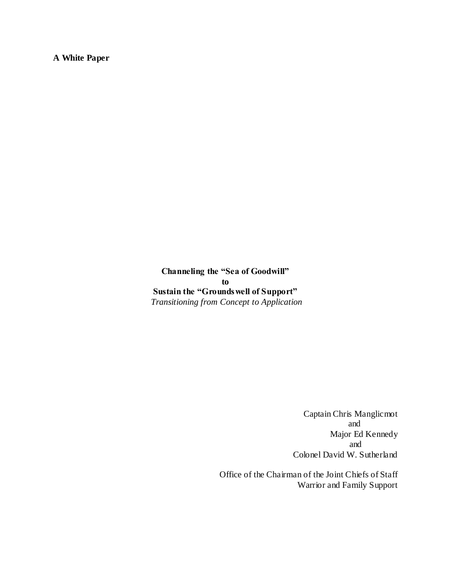**A White Paper**

**Channeling the "Sea of Goodwill" to Sustain the "Groundswell of Support"** *Transitioning from Concept to Application*

> Captain Chris Manglicmot and Major Ed Kennedy and Colonel David W. Sutherland

Office of the Chairman of the Joint Chiefs of Staff Warrior and Family Support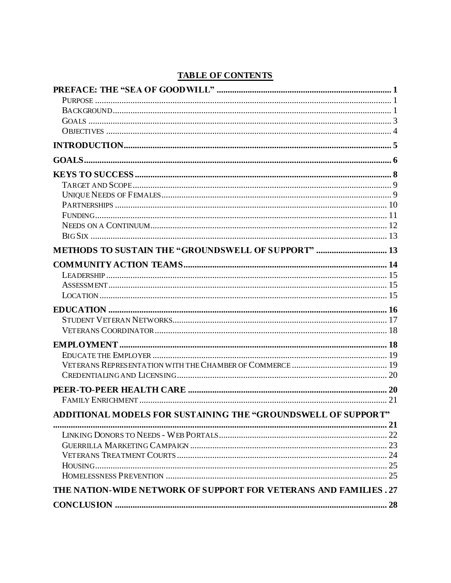# **TABLE OF CONTENTS**

| <b>METHODS TO SUSTAIN THE "GROUNDSWELL OF SUPPORT"  13</b>        |  |
|-------------------------------------------------------------------|--|
|                                                                   |  |
|                                                                   |  |
|                                                                   |  |
|                                                                   |  |
|                                                                   |  |
|                                                                   |  |
|                                                                   |  |
|                                                                   |  |
|                                                                   |  |
|                                                                   |  |
|                                                                   |  |
|                                                                   |  |
|                                                                   |  |
|                                                                   |  |
| ADDITIONAL MODELS FOR SUSTAINING THE "GROUNDSWELL OF SUPPORT"     |  |
|                                                                   |  |
|                                                                   |  |
|                                                                   |  |
|                                                                   |  |
|                                                                   |  |
|                                                                   |  |
| THE NATION-WIDE NETWORK OF SUPPORT FOR VETERANS AND FAMILIES . 27 |  |
|                                                                   |  |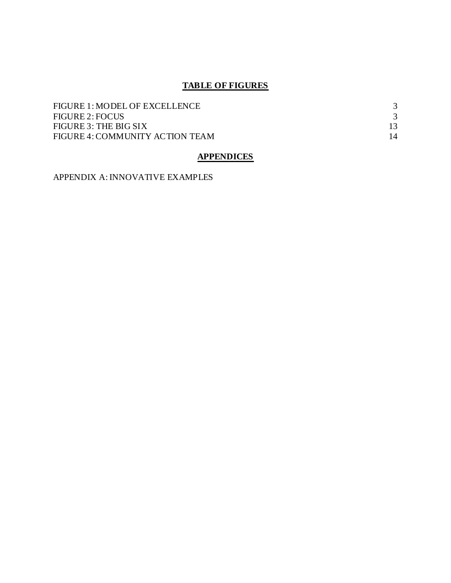# **TABLE OF FIGURES**

| FIGURE 1: MODEL OF EXCELLENCE   |    |
|---------------------------------|----|
| <b>FIGURE 2: FOCUS</b>          |    |
| FIGURE 3: THE BIG SIX           |    |
| FIGURE 4: COMMUNITY ACTION TEAM | 14 |

# **APPENDICES**

APPENDIX A: INNOVATIVE EXAMPLES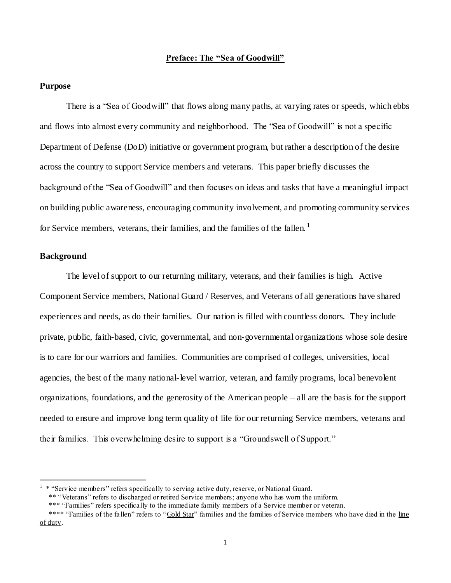## **Preface: The "Sea of Goodwill"**

### **Purpose**

There is a "Sea of Goodwill" that flows along many paths, at varying rates or speeds, which ebbs and flows into almost every community and neighborhood. The "Sea of Goodwill" is not a specific Department of Defense (DoD) initiative or government program, but rather a description of the desire across the country to support Service members and veterans. This paper briefly discusses the background of the "Sea of Goodwill" and then focuses on ideas and tasks that have a meaningful impact on building public awareness, encouraging community involvement, and promoting community services for Service members, veterans, their families, and the families of the fallen.<sup>1</sup>

# **Background**

 $\overline{a}$ 

The level of support to our returning military, veterans, and their families is high. Active Component Service members, National Guard / Reserves, and Veterans of all generations have shared experiences and needs, as do their families. Our nation is filled with countless donors. They include private, public, faith-based, civic, governmental, and non-governmental organizations whose sole desire is to care for our warriors and families. Communities are comprised of colleges, universities, local agencies, the best of the many national-level warrior, veteran, and family programs, local benevolent organizations, foundations, and the generosity of the American people – all are the basis for the support needed to ensure and improve long term quality of life for our returning Service members, veterans and their families. This overwhelming desire to support is a "Groundswell of Support."

 $1$  \* "Service members" refers specifically to serving active duty, reserve, or National Guard.

 <sup>\*\* ―</sup>Veterans‖ refers to discharged or retired Service members; anyone who has worn the uniform.

<sup>\*\*\* &</sup>quot;Families" refers specifically to the immediate family members of a Service member or veteran.

<sup>\*\*\*\* &</sup>quot;Families of the fallen" refers to "Gold Star" families and the families of Service members who have died in the line of duty.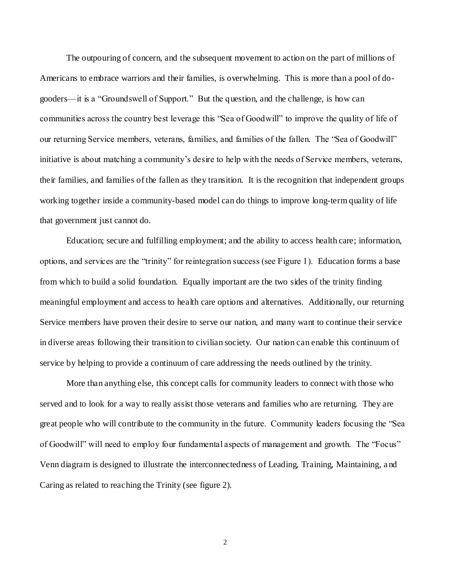The outpouring of concern, and the subsequent movement to action on the part of millions of Americans to embrace warriors and their families, is overwhelming. This is more than a pool of dogooders—it is a "Groundswell of Support." But the question, and the challenge, is how can communities across the country best leverage this "Sea of Goodwill" to improve the quality of life of our returning Service members, veterans, families, and families of the fallen. The "Sea of Goodwill" initiative is about matching a community's desire to help with the needs of Service members, veterans, their families, and families of the fallen as they transition. It is the recognition that independent groups working together inside a community-based model can do things to improve long-term quality of life that government just cannot do.

Education; secure and fulfilling employment; and the ability to access health care; information, options, and services are the "trinity" for reintegration success (see Figure 1). Education forms a base from which to build a solid foundation. Equally important are the two sides of the trinity finding meaningful employment and access to health care options and alternatives. Additionally, our returning Service members have proven their desire to serve our nation, and many want to continue their service in diverse areas following their transition to civilian society. Our nation can enable this continuum of service by helping to provide a continuum of care addressing the needs outlined by the trinity.

More than anything else, this concept calls for community leaders to connect with those who served and to look for a way to really assist those veterans and families who are returning. They are great people who will contribute to the community in the future. Community leaders focusing the "Sea of Goodwill" will need to employ four fundamental aspects of management and growth. The "Focus" Venn diagram is designed to illustrate the interconnectedness of Leading, Training, Maintaining, a nd Caring as related to reaching the Trinity (see figure 2).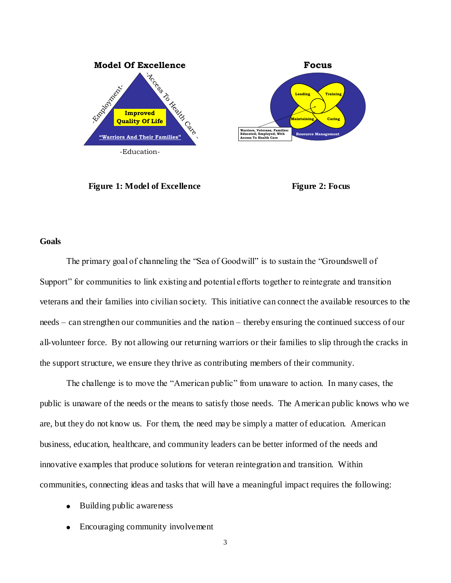

**Figure 1:** Model of Excellence Figure 2: Focus



# **Goals**

The primary goal of channeling the "Sea of Goodwill" is to sustain the "Groundswell of Support" for communities to link existing and potential efforts together to reintegrate and transition veterans and their families into civilian society. This initiative can connect the available resources to the needs – can strengthen our communities and the nation – thereby ensuring the continued success of our all-volunteer force. By not allowing our returning warriors or their families to slip through the cracks in the support structure, we ensure they thrive as contributing members of their community.

The challenge is to move the "American public" from unaware to action. In many cases, the public is unaware of the needs or the means to satisfy those needs. The American public knows who we are, but they do not know us. For them, the need may be simply a matter of education. American business, education, healthcare, and community leaders can be better informed of the needs and innovative examples that produce solutions for veteran reintegration and transition. Within communities, connecting ideas and tasks that will have a meaningful impact requires the following:

- Building public awareness
- Encouraging community involvement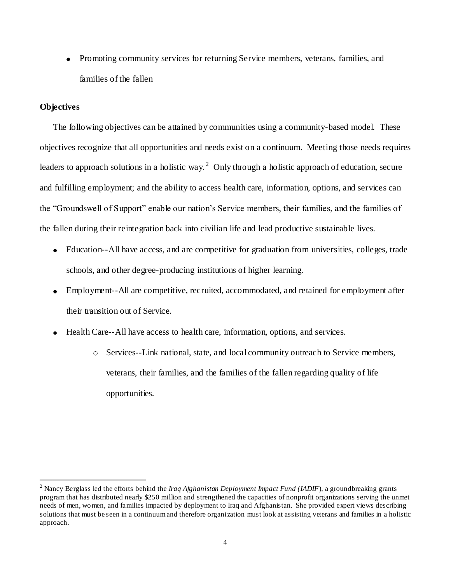Promoting community services for returning Service members, veterans, families, and families of the fallen

# **Objectives**

 $\overline{a}$ 

The following objectives can be attained by communities using a community-based model. These objectives recognize that all opportunities and needs exist on a continuum. Meeting those needs requires leaders to approach solutions in a holistic way.<sup>2</sup> Only through a holistic approach of education, secure and fulfilling employment; and the ability to access health care, information, options, and services can the "Groundswell of Support" enable our nation's Service members, their families, and the families of the fallen during their reintegration back into civilian life and lead productive sustainable lives.

- Education--All have access, and are competitive for graduation from universities, colleges, trade schools, and other degree-producing institutions of higher learning.
- Employment--All are competitive, recruited, accommodated, and retained for employment after their transition out of Service.
- Health Care--All have access to health care, information, options, and services.
	- o Services--Link national, state, and local community outreach to Service members, veterans, their families, and the families of the fallen regarding quality of life opportunities.

<sup>2</sup> Nancy Berglass led the efforts behind the *Iraq Afghanistan Deployment Impact Fund (IADIF*), a groundbreaking grants program that has distributed nearly \$250 million and strengthened the capacities of nonprofit organizations serving the unmet needs of men, women, and families impacted by deployment to Iraq and Afghanistan. She provided expert views describing solutions that must be seen in a continuum and therefore organization must look at assisting veterans and families in a holistic approach.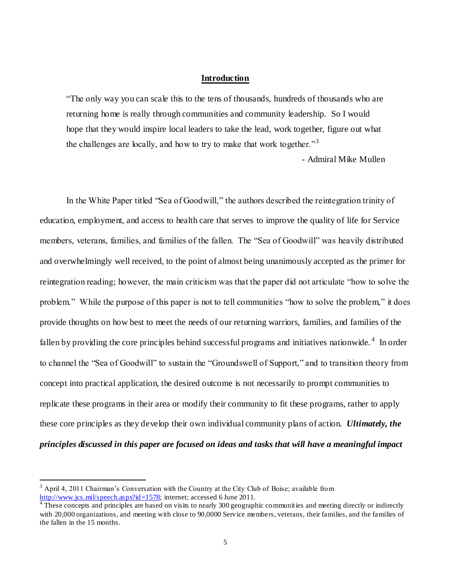# **Introduction**

―The only way you can scale this to the tens of thousands, hundreds of thousands who are returning home is really through communities and community leadership. So I would hope that they would inspire local leaders to take the lead, work together, figure out what the challenges are locally, and how to try to make that work together.<sup>33</sup>

- Admiral Mike Mullen

In the White Paper titled "Sea of Goodwill," the authors described the reintegration trinity of education, employment, and access to health care that serves to improve the quality of life for Service members, veterans, families, and families of the fallen. The "Sea of Goodwill" was heavily distributed and overwhelmingly well received, to the point of almost being unanimously accepted as the primer for reintegration reading; however, the main criticism was that the paper did not articulate "how to solve the problem." While the purpose of this paper is not to tell communities "how to solve the problem," it does provide thoughts on how best to meet the needs of our returning warriors, families, and families of the fallen by providing the core principles behind successful programs and initiatives nationwide.<sup>4</sup> In order to channel the "Sea of Goodwill" to sustain the "Groundswell of Support," and to transition theory from concept into practical application, the desired outcome is not necessarily to prompt communities to replicate these programs in their area or modify their community to fit these programs, rather to apply these core principles as they develop their own individual community plans of action. *Ultimately, the principles discussed in this paper are focused on ideas and tasks that will have a meaningful impact* 

 $\overline{a}$ 

 $3$  April 4, 2011 Chairman's Conversation with the Country at the City Club of Boise; available from [http://www.jcs.mil/speech.aspx?id=1578;](http://www.jcs.mil/speech.aspx?id=1578) internet; accessed 6 June 2011.

<sup>&</sup>lt;sup>4</sup> These concepts and principles are based on visits to nearly 300 geographic communities and meeting directly or indirectly with 20,000 organizations, and meeting with close to 90,0000 Service members, veterans, their families, and the families of the fallen in the 15 months.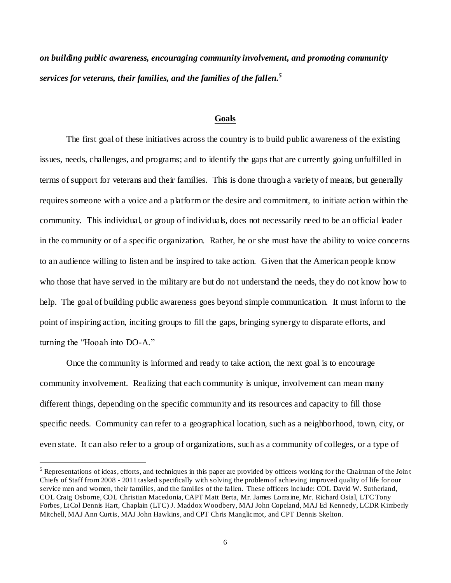*on building public awareness, encouraging community involvement, and promoting community services for veterans, their families, and the families of the fallen.<sup>5</sup>*

#### **Goals**

The first goal of these initiatives across the country is to build public awareness of the existing issues, needs, challenges, and programs; and to identify the gaps that are currently going unfulfilled in terms of support for veterans and their families. This is done through a variety of means, but generally requires someone with a voice and a platform or the desire and commitment, to initiate action within the community. This individual, or group of individuals, does not necessarily need to be an official leader in the community or of a specific organization. Rather, he or she must have the ability to voice concerns to an audience willing to listen and be inspired to take action. Given that the American people know who those that have served in the military are but do not understand the needs, they do not know how to help. The goal of building public awareness goes beyond simple communication. It must inform to the point of inspiring action, inciting groups to fill the gaps, bringing synergy to disparate efforts, and turning the "Hooah into DO-A."

Once the community is informed and ready to take action, the next goal is to encourage community involvement. Realizing that each community is unique, involvement can mean many different things, depending on the specific community and its resources and capacity to fill those specific needs. Community can refer to a geographical location, such as a neighborhood, town, city, or even state. It can also refer to a group of organizations, such as a community of colleges, or a type of

 $\overline{a}$ 

 $<sup>5</sup>$  Representations of ideas, efforts, and techniques in this paper are provided by officers working for the Chairman of the Join t</sup> Chiefs of Staff from 2008 - 2011 tasked specifically with solving the problem of achieving improved quality of life for our service men and women, their families, and the families of the fallen. These officers include: COL David W. Sutherland, COL Craig Osborne, COL Christian Macedonia, CAPT Matt Berta, Mr. James Lorraine, Mr. Richard Osial, LTC Tony Forbes, LtCol Dennis Hart, Chaplain (LTC) J. Maddox Woodbery, MAJ John Copeland, MAJ Ed Kennedy, LCDR Kimberly Mitchell, MAJ Ann Curtis, MAJ John Hawkins, and CPT Chris Manglicmot, and CPT Dennis Skelton.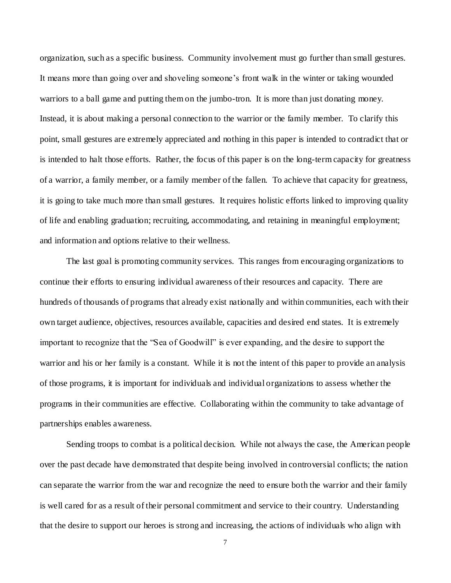organization, such as a specific business. Community involvement must go further than small gestures. It means more than going over and shoveling someone's front walk in the winter or taking wounded warriors to a ball game and putting them on the jumbo-tron. It is more than just donating money. Instead, it is about making a personal connection to the warrior or the family member. To clarify this point, small gestures are extremely appreciated and nothing in this paper is intended to contradict that or is intended to halt those efforts. Rather, the focus of this paper is on the long-term capacity for greatness of a warrior, a family member, or a family member of the fallen. To achieve that capacity for greatness, it is going to take much more than small gestures. It requires holistic efforts linked to improving quality of life and enabling graduation; recruiting, accommodating, and retaining in meaningful employment; and information and options relative to their wellness.

The last goal is promoting community services. This ranges from encouraging organizations to continue their efforts to ensuring individual awareness of their resources and capacity. There are hundreds of thousands of programs that already exist nationally and within communities, each with their own target audience, objectives, resources available, capacities and desired end states. It is extremely important to recognize that the "Sea of Goodwill" is ever expanding, and the desire to support the warrior and his or her family is a constant. While it is not the intent of this paper to provide an analysis of those programs, it is important for individuals and individual organizations to assess whether the programs in their communities are effective. Collaborating within the community to take advantage of partnerships enables awareness.

Sending troops to combat is a political decision. While not always the case, the American people over the past decade have demonstrated that despite being involved in controversial conflicts; the nation can separate the warrior from the war and recognize the need to ensure both the warrior and their family is well cared for as a result of their personal commitment and service to their country. Understanding that the desire to support our heroes is strong and increasing, the actions of individuals who align with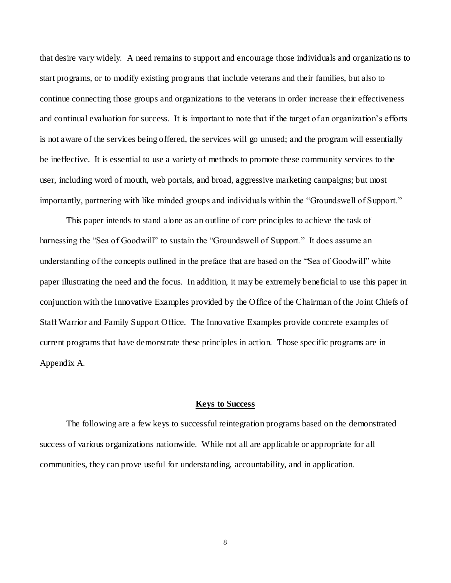that desire vary widely. A need remains to support and encourage those individuals and organizatio ns to start programs, or to modify existing programs that include veterans and their families, but also to continue connecting those groups and organizations to the veterans in order increase their effectiveness and continual evaluation for success. It is important to note that if the target of an organization's efforts is not aware of the services being offered, the services will go unused; and the program will essentially be ineffective. It is essential to use a variety of methods to promote these community services to the user, including word of mouth, web portals, and broad, aggressive marketing campaigns; but most importantly, partnering with like minded groups and individuals within the "Groundswell of Support."

This paper intends to stand alone as an outline of core principles to achieve the task of harnessing the "Sea of Goodwill" to sustain the "Groundswell of Support." It does assume an understanding of the concepts outlined in the preface that are based on the "Sea of Goodwill" white paper illustrating the need and the focus. In addition, it may be extremely beneficial to use this paper in conjunction with the Innovative Examples provided by the Office of the Chairman of the Joint Chiefs of Staff Warrior and Family Support Office. The Innovative Examples provide concrete examples of current programs that have demonstrate these principles in action. Those specific programs are in Appendix A.

#### **Keys to Success**

The following are a few keys to successful reintegration programs based on the demonstrated success of various organizations nationwide. While not all are applicable or appropriate for all communities, they can prove useful for understanding, accountability, and in application.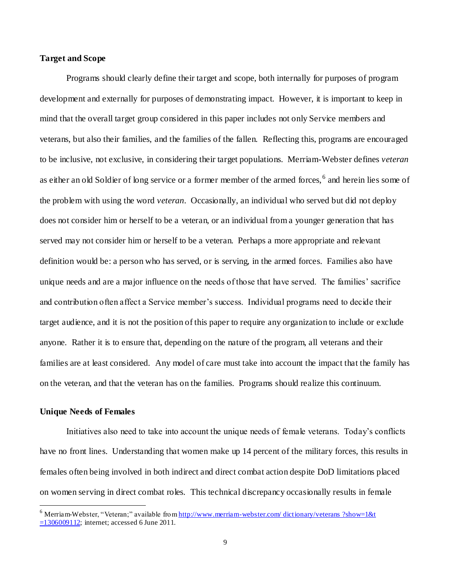# **Target and Scope**

Programs should clearly define their target and scope, both internally for purposes of program development and externally for purposes of demonstrating impact. However, it is important to keep in mind that the overall target group considered in this paper includes not only Service members and veterans, but also their families, and the families of the fallen. Reflecting this, programs are encouraged to be inclusive, not exclusive, in considering their target populations. Merriam-Webster defines *veteran* as either an old Soldier of long service or a former member of the armed forces, <sup>6</sup> and herein lies some of the problem with using the word *veteran*. Occasionally, an individual who served but did not deploy does not consider him or herself to be a veteran, or an individual from a younger generation that has served may not consider him or herself to be a veteran. Perhaps a more appropriate and relevant definition would be: a person who has served, or is serving, in the armed forces. Families also have unique needs and are a major influence on the needs of those that have served. The families' sacrifice and contribution often affect a Service member's success. Individual programs need to decide their target audience, and it is not the position of this paper to require any organization to include or exclude anyone. Rather it is to ensure that, depending on the nature of the program, all veterans and their families are at least considered. Any model of care must take into account the impact that the family has on the veteran, and that the veteran has on the families. Programs should realize this continuum.

## **Unique Needs of Females**

 $\overline{a}$ 

Initiatives also need to take into account the unique needs of female veterans. Today's conflicts have no front lines. Understanding that women make up 14 percent of the military forces, this results in females often being involved in both indirect and direct combat action despite DoD limitations placed on women serving in direct combat roles. This technical discrepancy occasionally results in female

 $6$  Merriam-Webster, "Veteran;" available fro[m http://www.merriam-webster.com/](http://www.merriam-webster.com/dictionary/veterans?show=1&t=1306009112) dictionary/veterans ?show=1&t [=1306009112;](http://www.merriam-webster.com/dictionary/veterans?show=1&t=1306009112) internet; accessed 6 June 2011.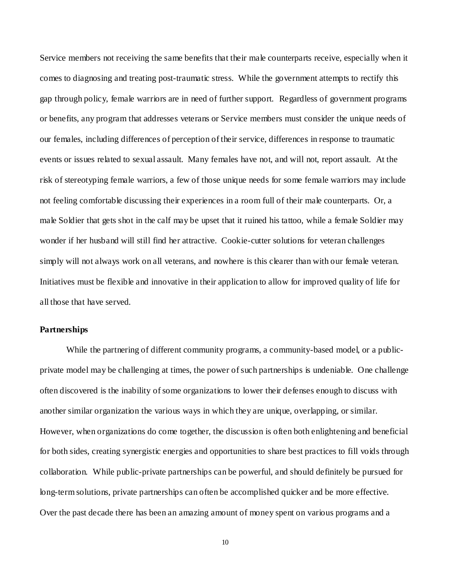Service members not receiving the same benefits that their male counterparts receive, especially when it comes to diagnosing and treating post-traumatic stress. While the government attempts to rectify this gap through policy, female warriors are in need of further support. Regardless of government programs or benefits, any program that addresses veterans or Service members must consider the unique needs of our females, including differences of perception of their service, differences in response to traumatic events or issues related to sexual assault. Many females have not, and will not, report assault. At the risk of stereotyping female warriors, a few of those unique needs for some female warriors may include not feeling comfortable discussing their experiences in a room full of their male counterparts. Or, a male Soldier that gets shot in the calf may be upset that it ruined his tattoo, while a female Soldier may wonder if her husband will still find her attractive. Cookie-cutter solutions for veteran challenges simply will not always work on all veterans, and nowhere is this clearer than with our female veteran. Initiatives must be flexible and innovative in their application to allow for improved quality of life for all those that have served.

# **Partnerships**

While the partnering of different community programs, a community-based model, or a publicprivate model may be challenging at times, the power of such partnerships is undeniable. One challenge often discovered is the inability of some organizations to lower their defenses enough to discuss with another similar organization the various ways in which they are unique, overlapping, or similar. However, when organizations do come together, the discussion is often both enlightening and beneficial for both sides, creating synergistic energies and opportunities to share best practices to fill voids through collaboration. While public-private partnerships can be powerful, and should definitely be pursued for long-term solutions, private partnerships can often be accomplished quicker and be more effective. Over the past decade there has been an amazing amount of money spent on various programs and a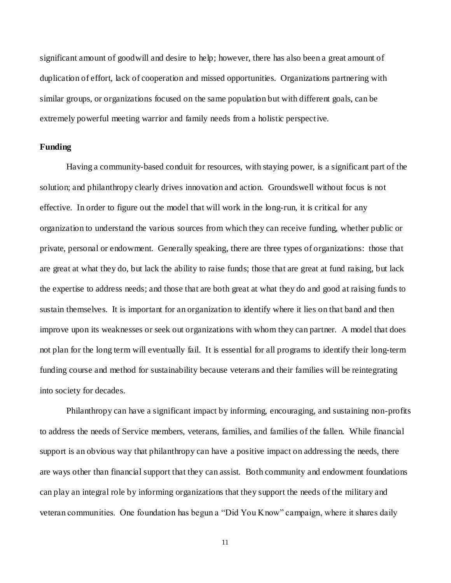significant amount of goodwill and desire to help; however, there has also been a great amount of duplication of effort, lack of cooperation and missed opportunities. Organizations partnering with similar groups, or organizations focused on the same population but with different goals, can be extremely powerful meeting warrior and family needs from a holistic perspective.

# **Funding**

Having a community-based conduit for resources, with staying power, is a significant part of the solution; and philanthropy clearly drives innovation and action. Groundswell without focus is not effective. In order to figure out the model that will work in the long-run, it is critical for any organization to understand the various sources from which they can receive funding, whether public or private, personal or endowment. Generally speaking, there are three types of organizations: those that are great at what they do, but lack the ability to raise funds; those that are great at fund raising, but lack the expertise to address needs; and those that are both great at what they do and good at raising funds to sustain themselves. It is important for an organization to identify where it lies on that band and then improve upon its weaknesses or seek out organizations with whom they can partner. A model that does not plan for the long term will eventually fail. It is essential for all programs to identify their long-term funding course and method for sustainability because veterans and their families will be reintegrating into society for decades.

Philanthropy can have a significant impact by informing, encouraging, and sustaining non-profits to address the needs of Service members, veterans, families, and families of the fallen. While financial support is an obvious way that philanthropy can have a positive impact on addressing the needs, there are ways other than financial support that they can assist. Both community and endowment foundations can play an integral role by informing organizations that they support the needs of the military and veteran communities. One foundation has begun a "Did You Know" campaign, where it shares daily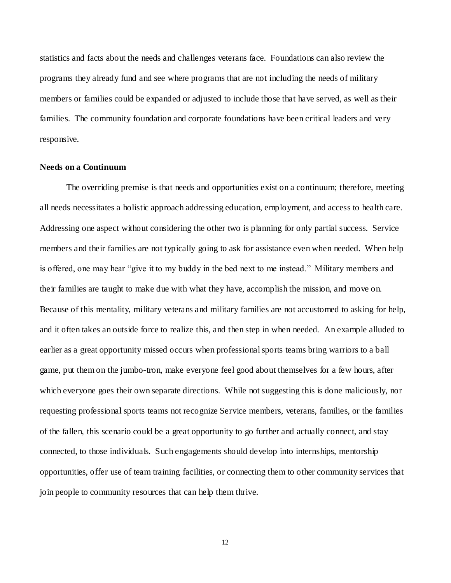statistics and facts about the needs and challenges veterans face. Foundations can also review the programs they already fund and see where programs that are not including the needs of military members or families could be expanded or adjusted to include those that have served, as well as their families. The community foundation and corporate foundations have been critical leaders and very responsive.

# **Needs on a Continuum**

The overriding premise is that needs and opportunities exist on a continuum; therefore, meeting all needs necessitates a holistic approach addressing education, employment, and access to health care. Addressing one aspect without considering the other two is planning for only partial success. Service members and their families are not typically going to ask for assistance even when needed. When help is offered, one may hear "give it to my buddy in the bed next to me instead." Military members and their families are taught to make due with what they have, accomplish the mission, and move on. Because of this mentality, military veterans and military families are not accustomed to asking for help, and it often takes an outside force to realize this, and then step in when needed. An example alluded to earlier as a great opportunity missed occurs when professional sports teams bring warriors to a ball game, put them on the jumbo-tron, make everyone feel good about themselves for a few hours, after which everyone goes their own separate directions. While not suggesting this is done maliciously, nor requesting professional sports teams not recognize Service members, veterans, families, or the families of the fallen, this scenario could be a great opportunity to go further and actually connect, and stay connected, to those individuals. Such engagements should develop into internships, mentorship opportunities, offer use of team training facilities, or connecting them to other community services that join people to community resources that can help them thrive.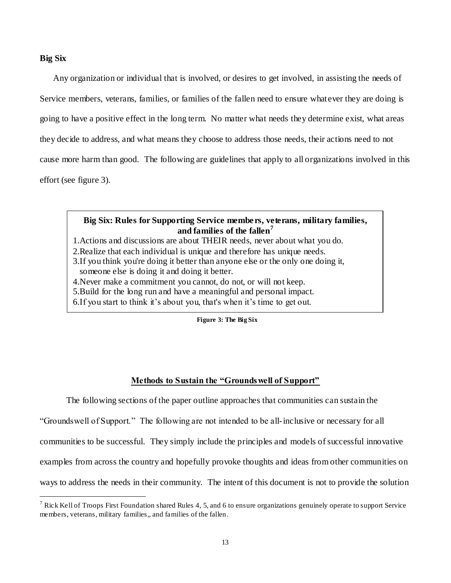# **Big Six**

 $\overline{a}$ 

Any organization or individual that is involved, or desires to get involved, in assisting the needs of Service members, veterans, families, or families of the fallen need to ensure whatever they are doing is going to have a positive effect in the long term. No matter what needs they determine exist, what areas they decide to address, and what means they choose to address those needs, their actions need to not cause more harm than good. The following are guidelines that apply to all organizations involved in this effort (see figure 3).

# **Big Six: Rules for Supporting Service members, veterans, military families, and families of the fallen<sup>7</sup>**

- 1.Actions and discussions are about THEIR needs, never about what you do.
- 2.Realize that each individual is unique and therefore has unique needs.
- 3.If you think you're doing it better than anyone else or the only one doing it, someone else is doing it and doing it better.
- 4.Never make a commitment you cannot, do not, or will not keep.
- 5.Build for the long run and have a meaningful and personal impact.
- 6.If you start to think it's about you, that's when it's time to get out.

**Figure 3: The Big Six**

# **Methods to Sustain the "Groundswell of Support"**

The following sections of the paper outline approaches that communities can sustain the

―Groundswell of Support.‖ The following are not intended to be all-inclusive or necessary for all

communities to be successful. They simply include the principles and models of successful innovative

examples from across the country and hopefully provoke thoughts and ideas from other communities on

ways to address the needs in their community. The intent of this document is not to provide the solution

<sup>&</sup>lt;sup>7</sup> Rick Kell of Troops First Foundation shared Rules 4, 5, and 6 to ensure organizations genuinely operate to support Service members, veterans, military families,, and families of the fallen.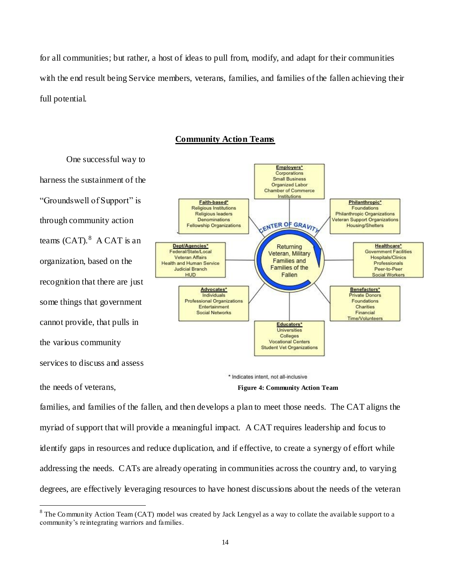for all communities; but rather, a host of ideas to pull from, modify, and adapt for their communities with the end result being Service members, veterans, families, and families of the fallen achieving their full potential.

# **Community Action Teams**

One successful way to harness the sustainment of the "Groundswell of Support" is through community action teams  $(CAT).<sup>8</sup>$  A CAT is an organization, based on the recognition that there are just some things that government cannot provide, that pulls in the various community services to discuss and assess

the needs of veterans,

 $\overline{a}$ 



**Figure 4: Community Action Team**

families, and families of the fallen, and then develops a plan to meet those needs. The CAT aligns the myriad of support that will provide a meaningful impact. A CAT requires leadership and focus to identify gaps in resources and reduce duplication, and if effective, to create a synergy of effort while addressing the needs. CATs are already operating in communities across the country and, to varying degrees, are effectively leveraging resources to have honest discussions about the needs of the veteran

 $8$  The Community Action Team (CAT) model was created by Jack Lengyel as a way to collate the available support to a community's reintegrating warriors and families.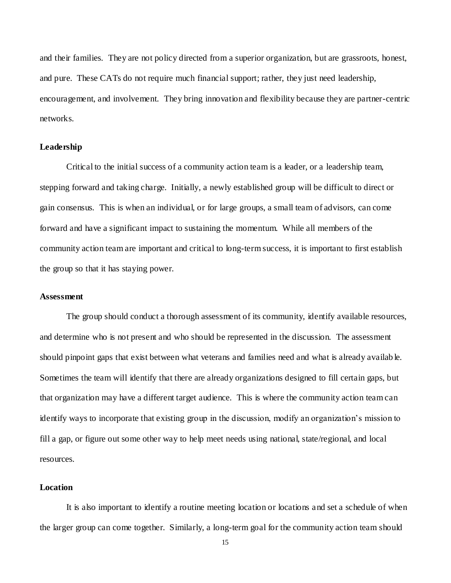and their families. They are not policy directed from a superior organization, but are grassroots, honest, and pure. These CATs do not require much financial support; rather, they just need leadership, encouragement, and involvement. They bring innovation and flexibility because they are partner-centric networks.

# **Leadership**

Critical to the initial success of a community action team is a leader, or a leadership team, stepping forward and taking charge. Initially, a newly established group will be difficult to direct or gain consensus. This is when an individual, or for large groups, a small team of advisors, can come forward and have a significant impact to sustaining the momentum. While all members of the community action team are important and critical to long-term success, it is important to first establish the group so that it has staying power.

#### **Assessment**

The group should conduct a thorough assessment of its community, identify available resources, and determine who is not present and who should be represented in the discussion. The assessment should pinpoint gaps that exist between what veterans and families need and what is already availab le. Sometimes the team will identify that there are already organizations designed to fill certain gaps, but that organization may have a different target audience. This is where the community action team can identify ways to incorporate that existing group in the discussion, modify an organization's mission to fill a gap, or figure out some other way to help meet needs using national, state/regional, and local resources.

# **Location**

It is also important to identify a routine meeting location or locations and set a schedule of when the larger group can come together. Similarly, a long-term goal for the community action team should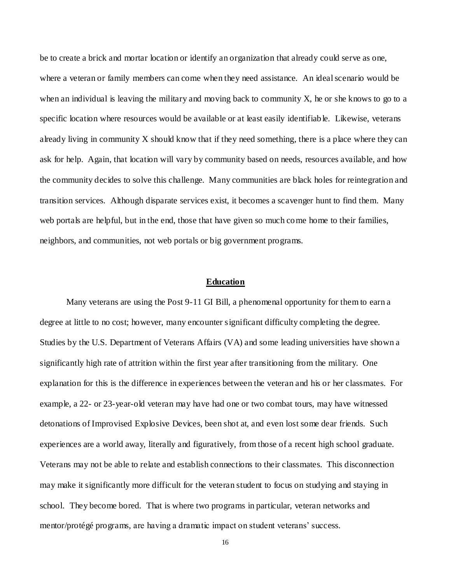be to create a brick and mortar location or identify an organization that already could serve as one, where a veteran or family members can come when they need assistance. An ideal scenario would be when an individual is leaving the military and moving back to community X, he or she knows to go to a specific location where resources would be available or at least easily identifiab le. Likewise, veterans already living in community  $X$  should know that if they need something, there is a place where they can ask for help. Again, that location will vary by community based on needs, resources available, and how the community decides to solve this challenge. Many communities are black holes for reintegration and transition services. Although disparate services exist, it becomes a scavenger hunt to find them. Many web portals are helpful, but in the end, those that have given so much come home to their families, neighbors, and communities, not web portals or big government programs.

## **Education**

Many veterans are using the Post 9-11 GI Bill, a phenomenal opportunity for them to earn a degree at little to no cost; however, many encounter significant difficulty completing the degree. Studies by the U.S. Department of Veterans Affairs (VA) and some leading universities have shown a significantly high rate of attrition within the first year after transitioning from the military. One explanation for this is the difference in experiences between the veteran and his or her classmates. For example, a 22- or 23-year-old veteran may have had one or two combat tours, may have witnessed detonations of Improvised Explosive Devices, been shot at, and even lost some dear friends. Such experiences are a world away, literally and figuratively, from those of a recent high school graduate. Veterans may not be able to relate and establish connections to their classmates. This disconnection may make it significantly more difficult for the veteran student to focus on studying and staying in school. They become bored. That is where two programs in particular, veteran networks and mentor/protégé programs, are having a dramatic impact on student veterans' success.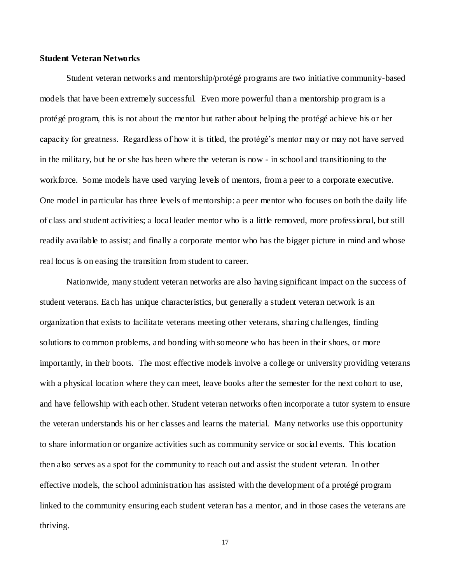# **Student Veteran Networks**

Student veteran networks and mentorship/protégé programs are two initiative community-based models that have been extremely successful. Even more powerful than a mentorship program is a protégé program, this is not about the mentor but rather about helping the protégé achieve his or her capacity for greatness. Regardless of how it is titled, the protégé's mentor may or may not have served in the military, but he or she has been where the veteran is now - in school and transitioning to the workforce. Some models have used varying levels of mentors, from a peer to a corporate executive. One model in particular has three levels of mentorship: a peer mentor who focuses on both the daily life of class and student activities; a local leader mentor who is a little removed, more professional, but still readily available to assist; and finally a corporate mentor who has the bigger picture in mind and whose real focus is on easing the transition from student to career.

Nationwide, many student veteran networks are also having significant impact on the success of student veterans. Each has unique characteristics, but generally a student veteran network is an organization that exists to facilitate veterans meeting other veterans, sharing challenges, finding solutions to common problems, and bonding with someone who has been in their shoes, or more importantly, in their boots. The most effective models involve a college or university providing veterans with a physical location where they can meet, leave books after the semester for the next cohort to use, and have fellowship with each other. Student veteran networks often incorporate a tutor system to ensure the veteran understands his or her classes and learns the material. Many networks use this opportunity to share information or organize activities such as community service or social events. This location then also serves as a spot for the community to reach out and assist the student veteran. In other effective models, the school administration has assisted with the development of a protégé program linked to the community ensuring each student veteran has a mentor, and in those cases the veterans are thriving.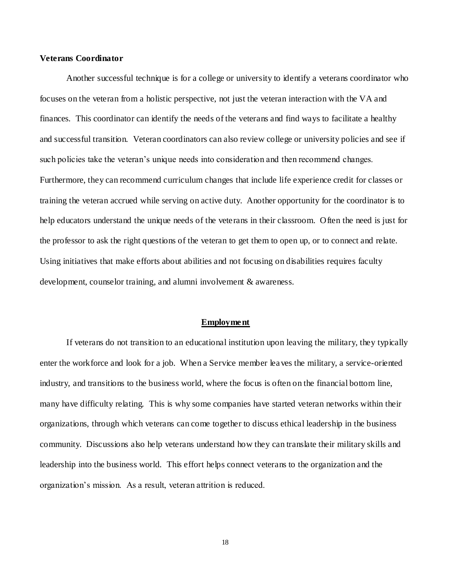# **Veterans Coordinator**

Another successful technique is for a college or university to identify a veterans coordinator who focuses on the veteran from a holistic perspective, not just the veteran interaction with the VA and finances. This coordinator can identify the needs of the veterans and find ways to facilitate a healthy and successful transition. Veteran coordinators can also review college or university policies and see if such policies take the veteran's unique needs into consideration and then recommend changes. Furthermore, they can recommend curriculum changes that include life experience credit for classes or training the veteran accrued while serving on active duty. Another opportunity for the coordinator is to help educators understand the unique needs of the veterans in their classroom. Often the need is just for the professor to ask the right questions of the veteran to get them to open up, or to connect and relate. Using initiatives that make efforts about abilities and not focusing on disabilities requires faculty development, counselor training, and alumni involvement & awareness.

#### **Employment**

If veterans do not transition to an educational institution upon leaving the military, they typically enter the workforce and look for a job. When a Service member leaves the military, a service-oriented industry, and transitions to the business world, where the focus is often on the financial bottom line, many have difficulty relating. This is why some companies have started veteran networks within their organizations, through which veterans can come together to discuss ethical leadership in the business community. Discussions also help veterans understand how they can translate their military skills and leadership into the business world. This effort helps connect veterans to the organization and the organization's mission. As a result, veteran attrition is reduced.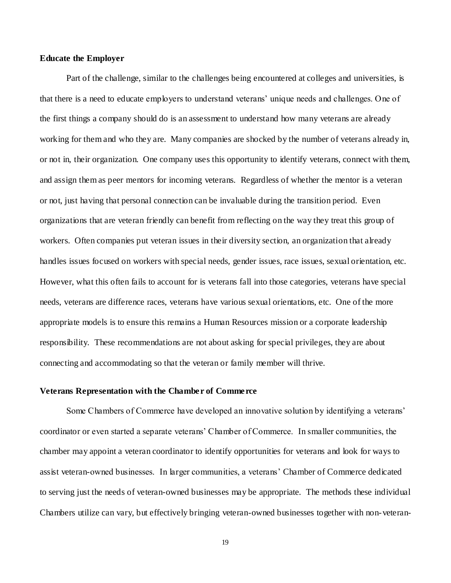# **Educate the Employer**

Part of the challenge, similar to the challenges being encountered at colleges and universities, is that there is a need to educate employers to understand veterans' unique needs and challenges. One of the first things a company should do is an assessment to understand how many veterans are already working for them and who they are. Many companies are shocked by the number of veterans already in, or not in, their organization. One company uses this opportunity to identify veterans, connect with them, and assign them as peer mentors for incoming veterans. Regardless of whether the mentor is a veteran or not, just having that personal connection can be invaluable during the transition period. Even organizations that are veteran friendly can benefit from reflecting on the way they treat this group of workers. Often companies put veteran issues in their diversity section, an organization that already handles issues focused on workers with special needs, gender issues, race issues, sexual orientation, etc. However, what this often fails to account for is veterans fall into those categories, veterans have special needs, veterans are difference races, veterans have various sexual orientations, etc. One of the more appropriate models is to ensure this remains a Human Resources mission or a corporate leadership responsibility. These recommendations are not about asking for special privileges, they are about connecting and accommodating so that the veteran or family member will thrive.

#### **Veterans Representation with the Chamber of Commerce**

Some Chambers of Commerce have developed an innovative solution by identifying a veterans' coordinator or even started a separate veterans' Chamber of Commerce. In smaller communities, the chamber may appoint a veteran coordinator to identify opportunities for veterans and look for ways to assist veteran-owned businesses. In larger communities, a veterans' Chamber of Commerce dedicated to serving just the needs of veteran-owned businesses may be appropriate. The methods these individual Chambers utilize can vary, but effectively bringing veteran-owned businesses together with non-veteran-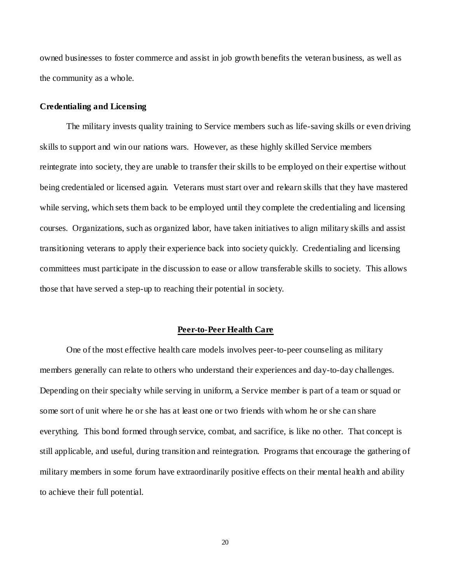owned businesses to foster commerce and assist in job growth benefits the veteran business, as well as the community as a whole.

## **Credentialing and Licensing**

The military invests quality training to Service members such as life-saving skills or even driving skills to support and win our nations wars. However, as these highly skilled Service members reintegrate into society, they are unable to transfer their skills to be employed on their expertise without being credentialed or licensed again. Veterans must start over and relearn skills that they have mastered while serving, which sets them back to be employed until they complete the credentialing and licensing courses. Organizations, such as organized labor, have taken initiatives to align military skills and assist transitioning veterans to apply their experience back into society quickly. Credentialing and licensing committees must participate in the discussion to ease or allow transferable skills to society. This allows those that have served a step-up to reaching their potential in society.

#### **Peer-to-Peer Health Care**

One of the most effective health care models involves peer-to-peer counseling as military members generally can relate to others who understand their experiences and day-to-day challenges. Depending on their specialty while serving in uniform, a Service member is part of a team or squad or some sort of unit where he or she has at least one or two friends with whom he or she can share everything. This bond formed through service, combat, and sacrifice, is like no other. That concept is still applicable, and useful, during transition and reintegration. Programs that encourage the gathering of military members in some forum have extraordinarily positive effects on their mental health and ability to achieve their full potential.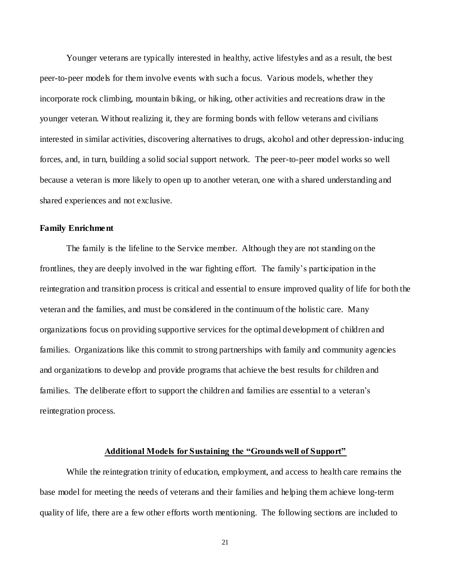Younger veterans are typically interested in healthy, active lifestyles and as a result, the best peer-to-peer models for them involve events with such a focus. Various models, whether they incorporate rock climbing, mountain biking, or hiking, other activities and recreations draw in the younger veteran. Without realizing it, they are forming bonds with fellow veterans and civilians interested in similar activities, discovering alternatives to drugs, alcohol and other depression-inducing forces, and, in turn, building a solid social support network. The peer-to-peer model works so well because a veteran is more likely to open up to another veteran, one with a shared understanding and shared experiences and not exclusive.

#### **Family Enrichment**

The family is the lifeline to the Service member. Although they are not standing on the frontlines, they are deeply involved in the war fighting effort. The family's participation in the reintegration and transition process is critical and essential to ensure improved quality of life for both the veteran and the families, and must be considered in the continuum of the holistic care. Many organizations focus on providing supportive services for the optimal development of children and families. Organizations like this commit to strong partnerships with family and community agencies and organizations to develop and provide programs that achieve the best results for children and families. The deliberate effort to support the children and families are essential to a veteran's reintegration process.

## **Additional Models for Sustaining the "Groundswell of Support"**

While the reintegration trinity of education, employment, and access to health care remains the base model for meeting the needs of veterans and their families and helping them achieve long-term quality of life, there are a few other efforts worth mentioning. The following sections are included to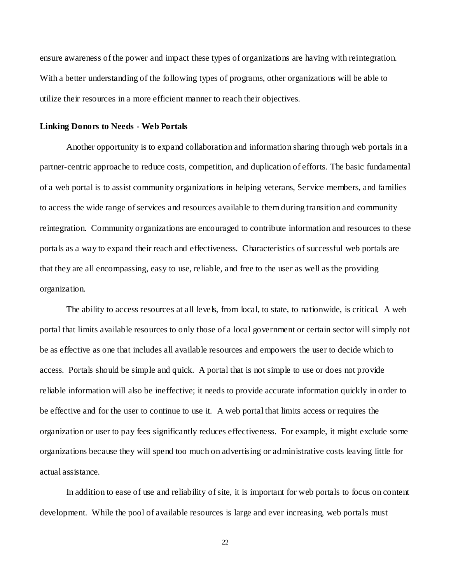ensure awareness of the power and impact these types of organizations are having with reintegration. With a better understanding of the following types of programs, other organizations will be able to utilize their resources in a more efficient manner to reach their objectives.

#### **Linking Donors to Needs - Web Portals**

Another opportunity is to expand collaboration and information sharing through web portals in a partner-centric approache to reduce costs, competition, and duplication of efforts. The basic fundamental of a web portal is to assist community organizations in helping veterans, Service members, and families to access the wide range of services and resources available to them during transition and community reintegration. Community organizations are encouraged to contribute information and resources to these portals as a way to expand their reach and effectiveness. Characteristics of successful web portals are that they are all encompassing, easy to use, reliable, and free to the user as well as the providing organization.

The ability to access resources at all levels, from local, to state, to nationwide, is critical. A web portal that limits available resources to only those of a local government or certain sector will simply not be as effective as one that includes all available resources and empowers the user to decide which to access. Portals should be simple and quick. A portal that is not simple to use or does not provide reliable information will also be ineffective; it needs to provide accurate information quickly in order to be effective and for the user to continue to use it. A web portal that limits access or requires the organization or user to pay fees significantly reduces effectiveness. For example, it might exclude some organizations because they will spend too much on advertising or administrative costs leaving little for actual assistance.

In addition to ease of use and reliability of site, it is important for web portals to focus on content development. While the pool of available resources is large and ever increasing, web portals must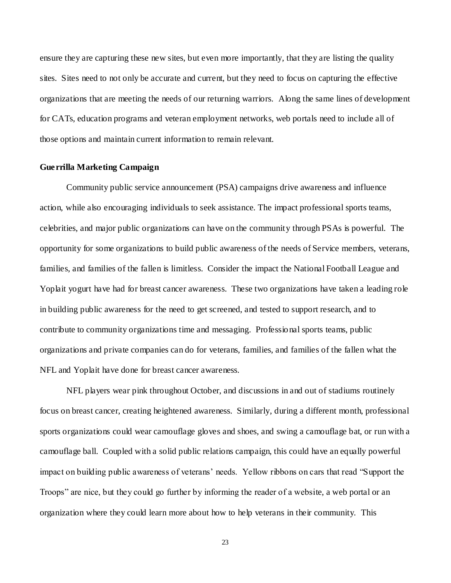ensure they are capturing these new sites, but even more importantly, that they are listing the quality sites. Sites need to not only be accurate and current, but they need to focus on capturing the effective organizations that are meeting the needs of our returning warriors. Along the same lines of development for CATs, education programs and veteran employment networks, web portals need to include all of those options and maintain current information to remain relevant.

# **Guerrilla Marketing Campaign**

Community public service announcement (PSA) campaigns drive awareness and influence action, while also encouraging individuals to seek assistance. The impact professional sports teams, celebrities, and major public organizations can have on the community through PSAs is powerful. The opportunity for some organizations to build public awareness of the needs of Service members, veterans, families, and families of the fallen is limitless. Consider the impact the National Football League and Yoplait yogurt have had for breast cancer awareness. These two organizations have taken a leading role in building public awareness for the need to get screened, and tested to support research, and to contribute to community organizations time and messaging. Professional sports teams, public organizations and private companies can do for veterans, families, and families of the fallen what the NFL and Yoplait have done for breast cancer awareness.

NFL players wear pink throughout October, and discussions in and out of stadiums routinely focus on breast cancer, creating heightened awareness. Similarly, during a different month, professional sports organizations could wear camouflage gloves and shoes, and swing a camouflage bat, or run with a camouflage ball. Coupled with a solid public relations campaign, this could have an equally powerful impact on building public awareness of veterans' needs. Yellow ribbons on cars that read "Support the Troops" are nice, but they could go further by informing the reader of a website, a web portal or an organization where they could learn more about how to help veterans in their community. This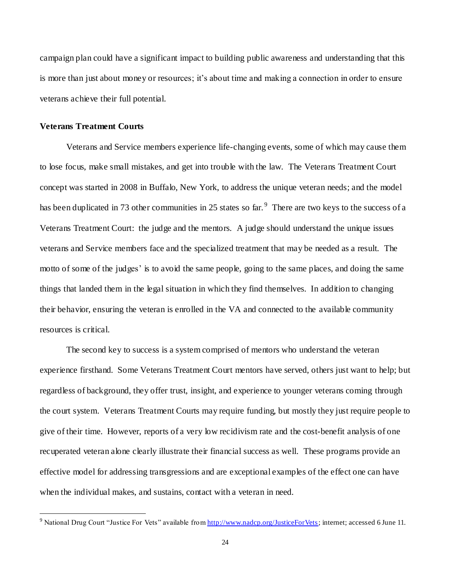campaign plan could have a significant impact to building public awareness and understanding that this is more than just about money or resources; it's about time and making a connection in order to ensure veterans achieve their full potential.

## **Veterans Treatment Courts**

 $\overline{a}$ 

Veterans and Service members experience life-changing events, some of which may cause them to lose focus, make small mistakes, and get into trouble with the law. The Veterans Treatment Court concept was started in 2008 in Buffalo, New York, to address the unique veteran needs; and the model has been duplicated in 73 other communities in 25 states so far.<sup>9</sup> There are two keys to the success of a Veterans Treatment Court: the judge and the mentors. A judge should understand the unique issues veterans and Service members face and the specialized treatment that may be needed as a result. The motto of some of the judges' is to avoid the same people, going to the same places, and doing the same things that landed them in the legal situation in which they find themselves. In addition to changing their behavior, ensuring the veteran is enrolled in the VA and connected to the available community resources is critical.

The second key to success is a system comprised of mentors who understand the veteran experience firsthand. Some Veterans Treatment Court mentors have served, others just want to help; but regardless of background, they offer trust, insight, and experience to younger veterans coming through the court system. Veterans Treatment Courts may require funding, but mostly they just require people to give of their time. However, reports of a very low recidivism rate and the cost-benefit analysis of one recuperated veteran alone clearly illustrate their financial success as well. These programs provide an effective model for addressing transgressions and are exceptional examples of the effect one can have when the individual makes, and sustains, contact with a veteran in need.

<sup>&</sup>lt;sup>9</sup> National Drug Court "Justice For Vets" available fro[m http://www.nadcp.org/JusticeForVets;](http://www.nadcp.org/JusticeForVets) internet; accessed 6 June 11.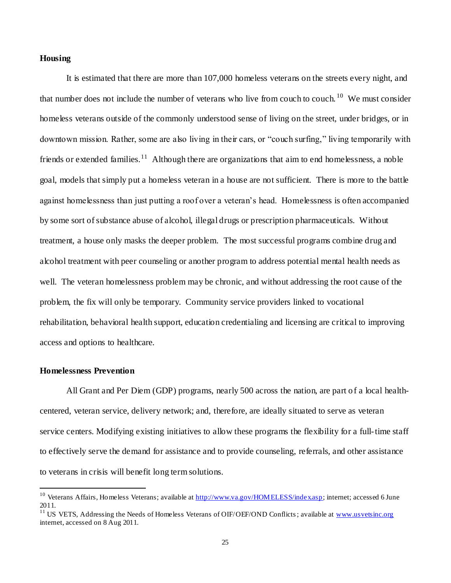# **Housing**

It is estimated that there are more than 107,000 homeless veterans on the streets every night, and that number does not include the number of veterans who live from couch to couch.<sup>10</sup> We must consider homeless veterans outside of the commonly understood sense of living on the street, under bridges, or in downtown mission. Rather, some are also living in their cars, or "couch surfing," living temporarily with friends or extended families.<sup>11</sup> Although there are organizations that aim to end homelessness, a noble goal, models that simply put a homeless veteran in a house are not sufficient. There is more to the battle against homelessness than just putting a roof over a veteran's head. Homelessness is often accompanied by some sort of substance abuse of alcohol, illegal drugs or prescription pharmaceuticals. Without treatment, a house only masks the deeper problem. The most successful programs combine drug and alcohol treatment with peer counseling or another program to address potential mental health needs as well. The veteran homelessness problem may be chronic, and without addressing the root cause of the problem, the fix will only be temporary. Community service providers linked to vocational rehabilitation, behavioral health support, education credentialing and licensing are critical to improving access and options to healthcare.

#### **Homelessness Prevention**

 $\overline{a}$ 

All Grant and Per Diem (GDP) programs, nearly 500 across the nation, are part of a local healthcentered, veteran service, delivery network; and, therefore, are ideally situated to serve as veteran service centers. Modifying existing initiatives to allow these programs the flexibility for a full-time staff to effectively serve the demand for assistance and to provide counseling, referrals, and other assistance to veterans in crisis will benefit long term solutions.

<sup>&</sup>lt;sup>10</sup> Veterans Affairs, Homeless Veterans; available at [http://www.va.gov/HOMELESS/index.asp;](http://www.va.gov/HOMELESS/index.asp) internet; accessed 6 June 2011.

<sup>&</sup>lt;sup>11</sup> US VETS, Addressing the Needs of Homeless Veterans of OIF/OEF/OND Conflicts; available a[t www.usvetsinc.org](http://www.usvetsinc.org/) internet, accessed on 8 Aug 2011.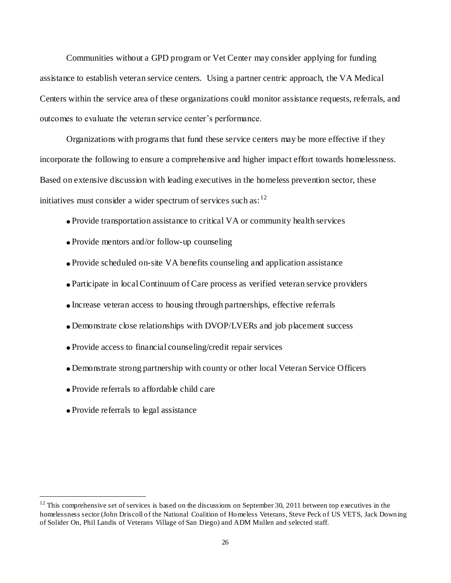Communities without a GPD program or Vet Center may consider applying for funding assistance to establish veteran service centers. Using a partner centric approach, the VA Medical Centers within the service area of these organizations could monitor assistance requests, referrals, and outcomes to evaluate the veteran service center's performance.

Organizations with programs that fund these service centers may be more effective if they incorporate the following to ensure a comprehensive and higher impact effort towards homelessness. Based on extensive discussion with leading executives in the homeless prevention sector, these initiatives must consider a wider spectrum of services such as:  $12$ 

- Provide transportation assistance to critical VA or community health services
- Provide mentors and/or follow-up counseling
- Provide scheduled on-site VA benefits counseling and application assistance
- Participate in local Continuum of Care process as verified veteran service providers
- Increase veteran access to housing through partnerships, effective referrals
- Demonstrate close relationships with DVOP/LVERs and job placement success
- Provide access to financial counseling/credit repair services
- Demonstrate strong partnership with county or other local Veteran Service Officers
- Provide referrals to affordable child care
- Provide referrals to legal assistance

 $\overline{a}$ 

 $12$  This comprehensive set of services is based on the discussions on September 30, 2011 between top executives in the homelessness sector (John Driscoll of the National Coalition of Homeless Veterans, Steve Peck of US VETS, Jack Downing of Solider On, Phil Landis of Veterans Village of San Diego) and ADM Mullen and selected staff.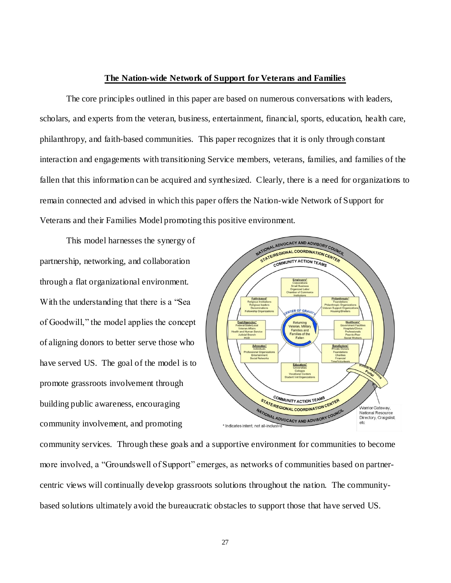#### **The Nation-wide Network of Support for Veterans and Families**

The core principles outlined in this paper are based on numerous conversations with leaders, scholars, and experts from the veteran, business, entertainment, financial, sports, education, health care, philanthropy, and faith-based communities. This paper recognizes that it is only through constant interaction and engagements with transitioning Service members, veterans, families, and families of the fallen that this information can be acquired and synthesized. Clearly, there is a need for organizations to remain connected and advised in which this paper offers the Nation-wide Network of Support for Veterans and their Families Model promoting this positive environment.

This model harnesses the synergy of partnership, networking, and collaboration through a flat organizational environment. With the understanding that there is a "Sea of Goodwill," the model applies the concept of aligning donors to better serve those who have served US. The goal of the model is to promote grassroots involvement through building public awareness, encouraging community involvement, and promoting



community services. Through these goals and a supportive environment for communities to become more involved, a "Groundswell of Support" emerges, as networks of communities based on partnercentric views will continually develop grassroots solutions throughout the nation. The communitybased solutions ultimately avoid the bureaucratic obstacles to support those that have served US.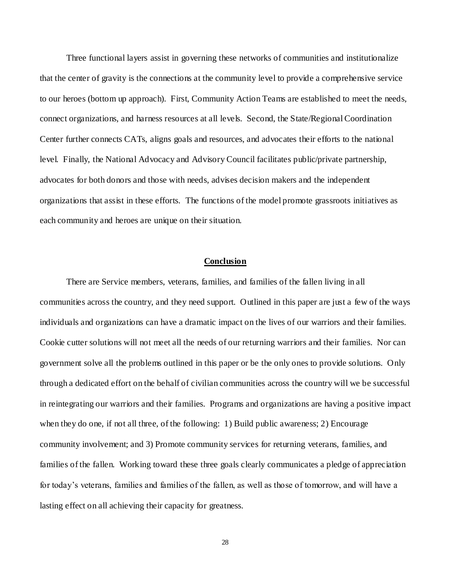Three functional layers assist in governing these networks of communities and institutionalize that the center of gravity is the connections at the community level to provide a comprehensive service to our heroes (bottom up approach). First, Community Action Teams are established to meet the needs, connect organizations, and harness resources at all levels. Second, the State/Regional Coordination Center further connects CATs, aligns goals and resources, and advocates their efforts to the national level. Finally, the National Advocacy and Advisory Council facilitates public/private partnership, advocates for both donors and those with needs, advises decision makers and the independent organizations that assist in these efforts. The functions of the model promote grassroots initiatives as each community and heroes are unique on their situation.

# **Conclusion**

There are Service members, veterans, families, and families of the fallen living in all communities across the country, and they need support. Outlined in this paper are just a few of the ways individuals and organizations can have a dramatic impact on the lives of our warriors and their families. Cookie cutter solutions will not meet all the needs of our returning warriors and their families. Nor can government solve all the problems outlined in this paper or be the only ones to provide solutions. Only through a dedicated effort on the behalf of civilian communities across the country will we be successful in reintegrating our warriors and their families. Programs and organizations are having a positive impact when they do one, if not all three, of the following: 1) Build public awareness; 2) Encourage community involvement; and 3) Promote community services for returning veterans, families, and families of the fallen. Working toward these three goals clearly communicates a pledge of appreciation for today's veterans, families and families of the fallen, as well as those of tomorrow, and will have a lasting effect on all achieving their capacity for greatness.